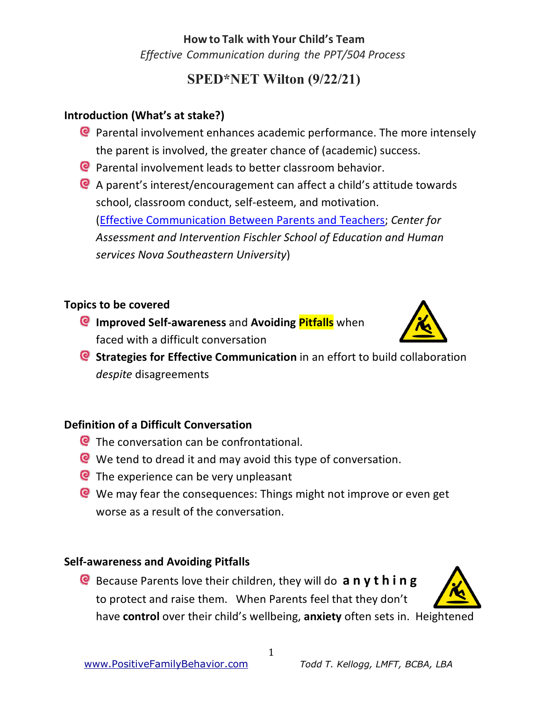*Effective Communication during the PPT/504 Process*

## **SPED\*NET Wilton (9/22/21)**

#### **Introduction (What's at stake?)**

- Parental involvement enhances academic performance. The more intensely the parent is involved, the greater chance of (academic) success.
- Parental involvement leads to better classroom behavior.
- A parent's interest/encouragement can affect a child's attitude towards school, classroom conduct, self-esteem, and motivation. [\(Effective Communication Between Parents and Teachers](http://theparentacademy.dadeschools.net/pdfs/Effective_Communication.pdf); *Center for Assessment and Intervention Fischler School of Education and Human services Nova Southeastern University*)

#### **Topics to be covered**

**Improved Self-awareness** and **Avoiding Pitfalls** when faced with a difficult conversation



**Strategies for Effective Communication** in an effort to build collaboration *despite* disagreements

#### **Definition of a Difficult Conversation**

- **Q** The conversation can be confrontational.
- We tend to dread it and may avoid this type of conversation.
- **Q** The experience can be very unpleasant
- We may fear the consequences: Things might not improve or even get worse as a result of the conversation.

#### **Self-awareness and Avoiding Pitfalls**

Because Parents love their children, they will do **a n y t h i n g** to protect and raise them. When Parents feel that they don't have **control** over their child's wellbeing, **anxiety** often sets in. Heightened

1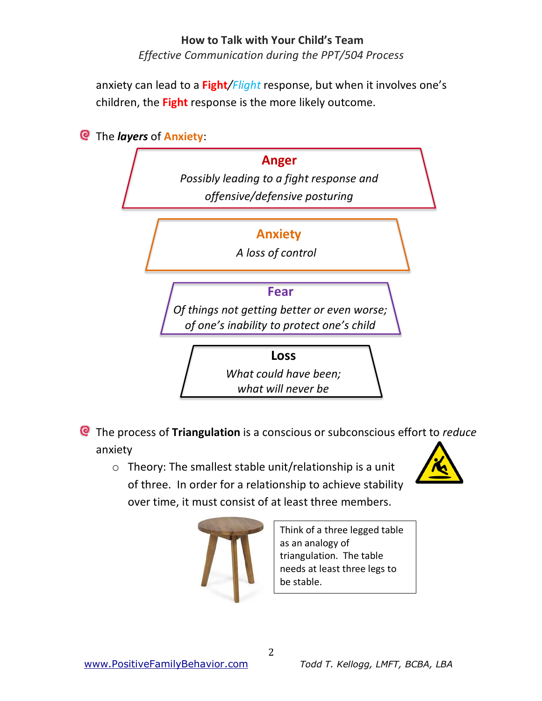*Effective Communication during the PPT/504 Process*

anxiety can lead to a **Fight***/Flight* response, but when it involves one's children, the **Fight** response is the more likely outcome.



- The process of **Triangulation** is a conscious or subconscious effort to *reduce* anxiety
	- o Theory: The smallest stable unit/relationship is a unit of three. In order for a relationship to achieve stability over time, it must consist of at least three members.





Think of a three legged table as an analogy of triangulation. The table needs at least three legs to be stable.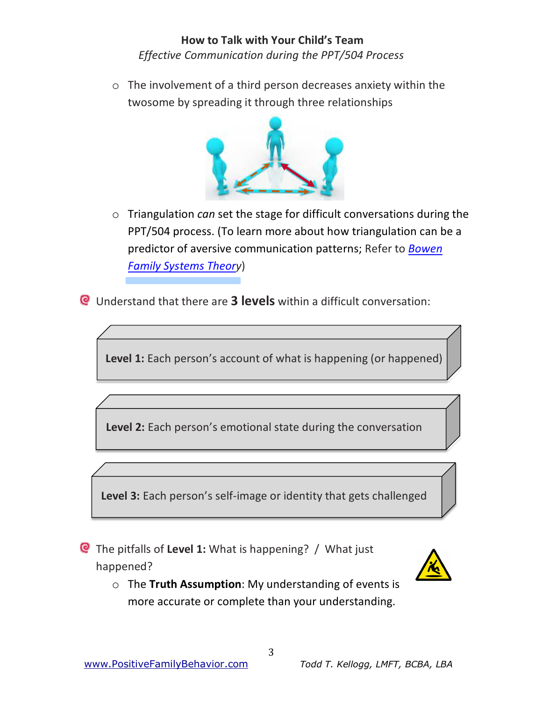#### **How to Talk with Your Child's Team** *Effective Communication during the PPT/504 Process*

o The involvement of a third person decreases anxiety within the twosome by spreading it through three relationships



- o Triangulation *can* set the stage for difficult conversations during the PPT/504 process. (To learn more about how triangulation can be a predictor of aversive communication patterns; Refer to *Bowen Family Systems Theory*)
- Understand that there are **3 levels** within a difficult conversation:

**Level 1:** Each person's account of what is happening (or happened)

**Level 2:** Each person's emotional state during the conversation

**Level 3:** Each person's self-image or identity that gets challenged

The pitfalls of **Level 1:** What is happening? / What just happened?



o The **Truth Assumption**: My understanding of events is more accurate or complete than your understanding.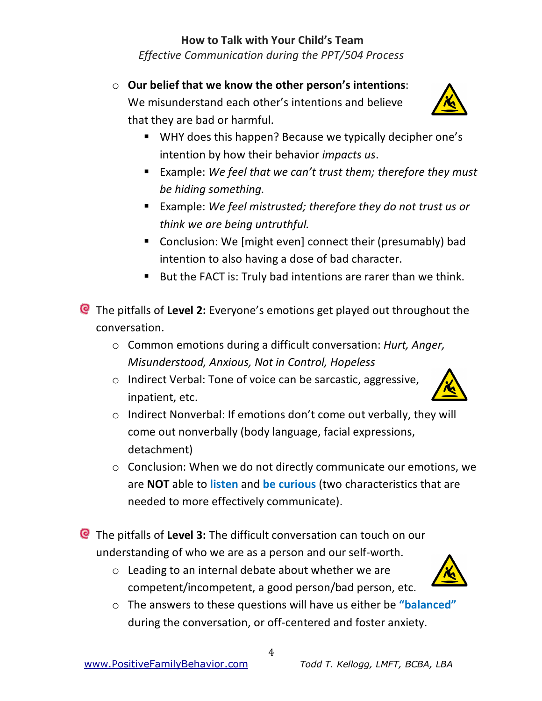*Effective Communication during the PPT/504 Process*

o **Our belief that we know the other person's intentions**:

We misunderstand each other's intentions and believe that they are bad or harmful.

- WHY does this happen? Because we typically decipher one's intention by how their behavior *impacts us*.
- Example: We feel that we can't *trust them; therefore they must be hiding something.*
- Example: We feel mistrusted; therefore they do not trust us or *think we are being untruthful.*
- Conclusion: We [might even] connect their (presumably) bad intention to also having a dose of bad character.
- But the FACT is: Truly bad intentions are rarer than we think.

The pitfalls of **Level 2:** Everyone's emotions get played out throughout the conversation.

- o Common emotions during a difficult conversation: *Hurt, Anger, Misunderstood, Anxious, Not in Control, Hopeless*
- o Indirect Verbal: Tone of voice can be sarcastic, aggressive, inpatient, etc.
- o Indirect Nonverbal: If emotions don't come out verbally, they will come out nonverbally (body language, facial expressions, detachment)
- o Conclusion: When we do not directly communicate our emotions, we are **NOT** able to **listen** and **be curious** (two characteristics that are needed to more effectively communicate).

The pitfalls of **Level 3:** The difficult conversation can touch on our understanding of who we are as a person and our self-worth.

- o Leading to an internal debate about whether we are competent/incompetent, a good person/bad person, etc.
- o The answers to these questions will have us either be **"balanced"** during the conversation, or off-centered and foster anxiety.





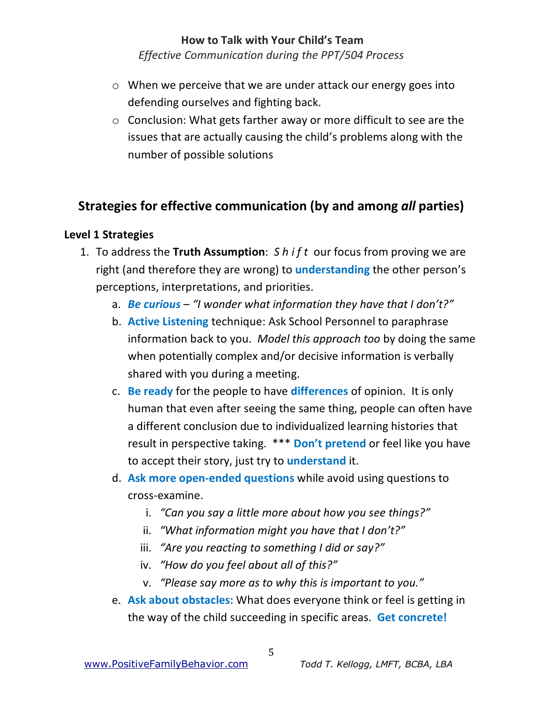*Effective Communication during the PPT/504 Process*

- o When we perceive that we are under attack our energy goes into defending ourselves and fighting back.
- o Conclusion: What gets farther away or more difficult to see are the issues that are actually causing the child's problems along with the number of possible solutions

### **Strategies for effective communication (by and among** *all* **parties)**

#### **Level 1 Strategies**

- 1. To address the **Truth Assumption**: *S h i f t* our focus from proving we are right (and therefore they are wrong) to **understanding** the other person's perceptions, interpretations, and priorities.
	- a. *Be curious "I wonder what information they have that I don't?"*
	- b. **Active Listening** technique: Ask School Personnel to paraphrase information back to you. *Model this approach too* by doing the same when potentially complex and/or decisive information is verbally shared with you during a meeting.
	- c. **Be ready** for the people to have **differences** of opinion. It is only human that even after seeing the same thing, people can often have a different conclusion due to individualized learning histories that result in perspective taking. \*\*\* **Don't pretend** or feel like you have to accept their story, just try to **understand** it.
	- d. **Ask more open-ended questions** while avoid using questions to cross-examine.
		- i. *"Can you say a little more about how you see things?"*
		- ii. *"What information might you have that I don't?"*
		- iii. *"Are you reacting to something I did or say?"*
		- iv. *"How do you feel about all of this?"*
		- v. *"Please say more as to why this is important to you."*
	- e. **Ask about obstacles**: What does everyone think or feel is getting in the way of the child succeeding in specific areas. **Get concrete!**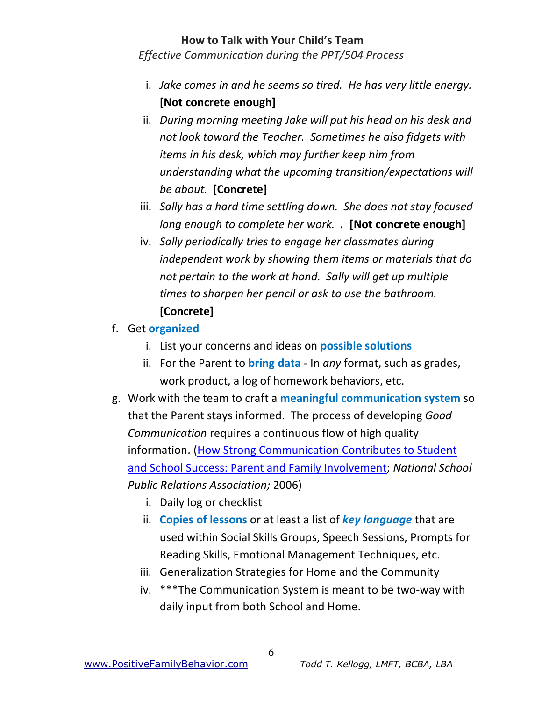*Effective Communication during the PPT/504 Process*

- i. *Jake comes in and he seems so tired. He has very little energy.*  **[Not concrete enough]**
- ii. *During morning meeting Jake will put his head on his desk and not look toward the Teacher. Sometimes he also fidgets with items in his desk, which may further keep him from understanding what the upcoming transition/expectations will be about.* **[Concrete]**
- iii. *Sally has a hard time settling down. She does not stay focused long enough to complete her work. .* **[Not concrete enough]**
- iv. *Sally periodically tries to engage her classmates during independent work by showing them items or materials that do not pertain to the work at hand. Sally will get up multiple times to sharpen her pencil or ask to use the bathroom.*  **[Concrete]**
- f. Get **organized**
	- i. List your concerns and ideas on **possible solutions**
	- ii. For the Parent to **bring data** In *any* format, such as grades, work product, a log of homework behaviors, etc.
- g. Work with the team to craft a **meaningful communication system** so that the Parent stays informed. The process of developing *Good Communication* requires a continuous flow of high quality information. (How Strong Communication Contributes to Student and School S[uccess: Parent and Family Involvement;](http://www.nspra.org/files/docs/Strong_Communication_Students_School_Success.pdf) *National School [Public Relations Association;](http://www.nspra.org/files/docs/Strong_Communication_Students_School_Success.pdf)* 2006)
	- i. Daily log or checklist
	- ii. **Copies of lessons** or at least a list of *key language* that are used within Social Skills Groups, Speech Sessions, Prompts for Reading Skills, Emotional Management Techniques, etc.
	- iii. Generalization Strategies for Home and the Community
	- iv. \*\*\*The Communication System is meant to be two-way with daily input from both School and Home.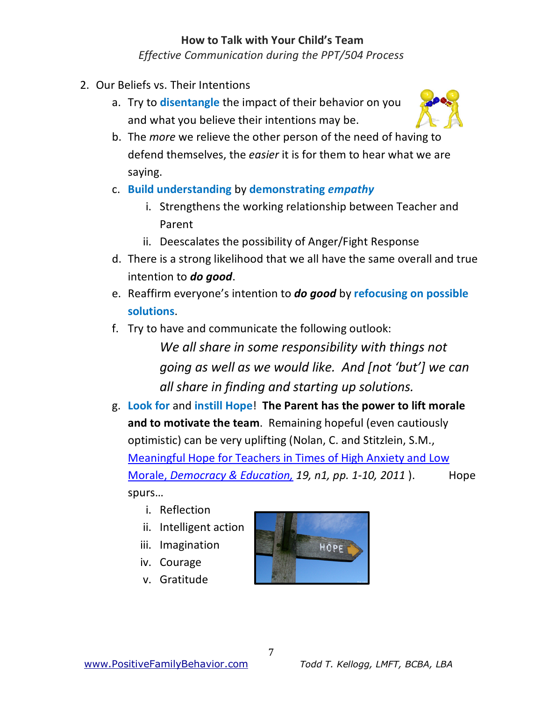*Effective Communication during the PPT/504 Process*

- 2. Our Beliefs vs. Their Intentions
	- a. Try to **disentangle** the impact of their behavior on you and what you believe their intentions may be.



- b. The *more* we relieve the other person of the need of having to defend themselves, the *easier* it is for them to hear what we are saying.
- c. **Build understanding** by **demonstrating** *empathy*
	- i. Strengthens the working relationship between Teacher and Parent
	- ii. Deescalates the possibility of Anger/Fight Response
- d. There is a strong likelihood that we all have the same overall and true intention to *do good*.
- e. Reaffirm everyone's intention to *do good* by **refocusing on possible solutions**.
- f. Try to have and communicate the following outlook:

*We all share in some responsibility with things not going as well as we would like. And [not 'but'] we can all share in finding and starting up solutions.*

- g. **Look for** and **instill Hope**! **The Parent has the power to lift morale and to motivate the team**. Remaining hopeful (even cautiously optimistic) can be very uplifting (Nolan, C. and Stitzlein, S.M., Meaningful Hope for Teachers in Times of High Anxiety and Low Morale, *[Democracy & Education,](http://democracyeducationjournal.org/cgi/viewcontent.cgi?article=1001&context=home) 19, n1, pp. 1-10, 2011* ). Hope [spurs…](http://democracyeducationjournal.org/cgi/viewcontent.cgi?article=1001&context=home) 
	- i. Reflection
	- ii. Intelligent action
	- iii. Imagination
	- iv. Courage
	- v. Gratitude

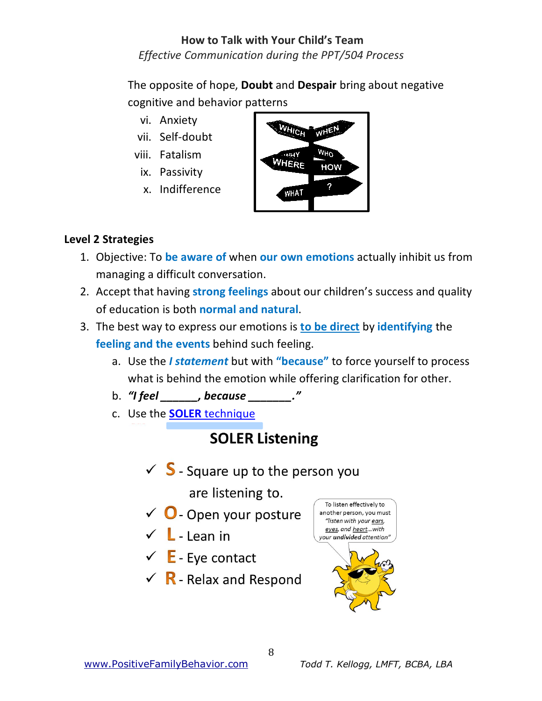*Effective Communication during the PPT/504 Process*

The opposite of hope, **Doubt** and **Despair** bring about negative cognitive and behavior patterns

- vi. Anxiety
- vii. Self-doubt
- viii. Fatalism
- ix. Passivity
- x. Indifference



#### **Level 2 Strategies**

- 1. Objective: To **be aware of** when **our own emotions** actually inhibit us from managing a difficult conversation.
- 2. Accept that having **strong feelings** about our children's success and quality of education is both **normal and natural**.
- 3. The best way to express our emotions is **to be direct** by **identifying** the **feeling and the events** behind such feeling.
	- a. Use the *I statement* but with **"because"** to force yourself to process what is behind the emotion while offering clarification for other.
	- b. *"I feel \_\_\_\_\_\_, because \_\_\_\_\_\_\_."*
	- c. Use the **SOLER** technique

# **SOLER Listening**

 $\checkmark$  S - Square up to the person you

are listening to.

- $\checkmark$  O Open your posture
- $\checkmark$  L Lean in
- $\checkmark$  E Eye contact
- $\checkmark$  R Relax and Respond



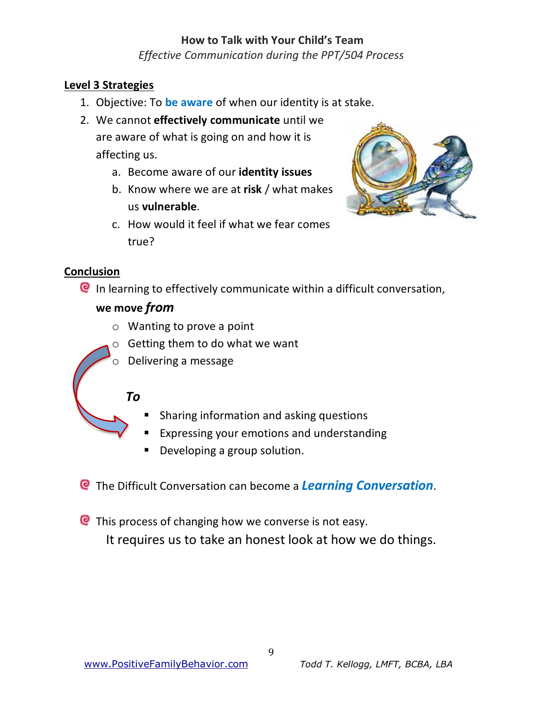*Effective Communication during the PPT/504 Process*

#### **Level 3 Strategies**

- 1. Objective: To **be aware** of when our identity is at stake.
- 2. We cannot **effectively communicate** until we are aware of what is going on and how it is affecting us.
	- a. Become aware of our **identity issues**
	- b. Know where we are at **risk** / what makes us **vulnerable**.



c. How would it feel if what we fear comes true?

#### **Conclusion**

In learning to effectively communicate within a difficult conversation,

#### **we move** *from*

- o Wanting to prove a point
- $\circ$  Getting them to do what we want
- o Delivering a message

#### *To*

- Sharing information and asking questions
- Expressing your emotions and understanding
- Developing a group solution.
- The Difficult Conversation can become a *Learning Conversation*.
- **C** This process of changing how we converse is not easy.

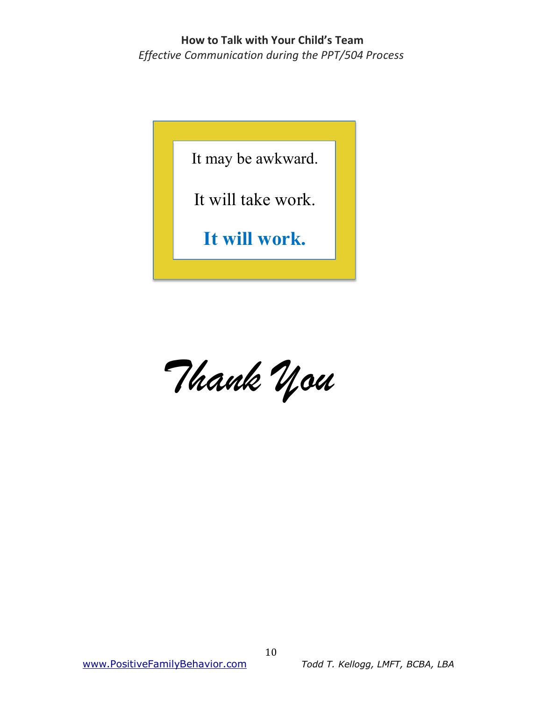#### **How to Talk with Your Child's Team** *Effective Communication during the PPT/504 Process*

It may be awkward.

It will take work.

**It will work.**

*Thank You*